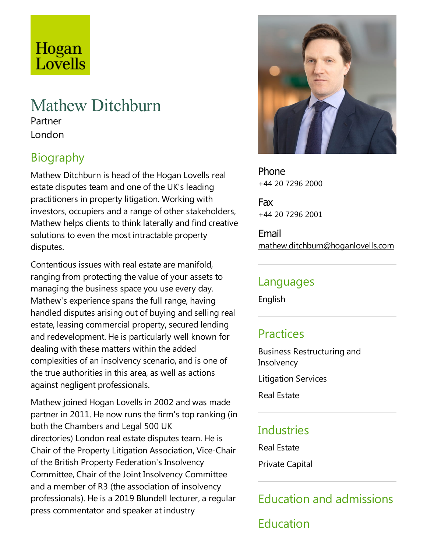# Hogan Lovells

# Mathew Ditchburn

Partner London

# Biography

Mathew Ditchburn is head of the Hogan Lovells real estate disputes team and one of the UK's leading practitioners in property litigation. Working with investors, occupiers and a range of other stakeholders, Mathew helps clients to think laterally and find creative solutions to even the most intractable property disputes.

Contentious issues with real estate are manifold, ranging from protecting the value of your assets to managing the business space you use every day. Mathew's experience spans the full range, having handled disputes arising out of buying and selling real estate, leasing commercial property, secured lending and redevelopment. He is particularly well known for dealing with these matters within the added complexities of an insolvency scenario, and is one of the true authorities in this area, as well as actions against negligent professionals.

Mathew joined Hogan Lovells in 2002 and was made partner in 2011. He now runs the firm's top ranking (in both the Chambers and Legal 500 UK directories) London real estate disputes team. He is Chair of the Property Litigation Association, Vice-Chair of the British Property Federation's Insolvency Committee, Chair of the Joint Insolvency Committee and a member of R3 (the association of insolvency professionals). He is a 2019 Blundell lecturer, a regular press commentator and speaker at industry



Phone +44 20 7296 2000

Fax +44 20 7296 2001

Email mathew.ditchburn@hoganlovells.com

#### Languages

English

### **Practices**

Business Restructuring and **Insolvency** 

Litigation Services

Real Estate

#### Industries

Real Estate

Private Capital

# Education and admissions

Education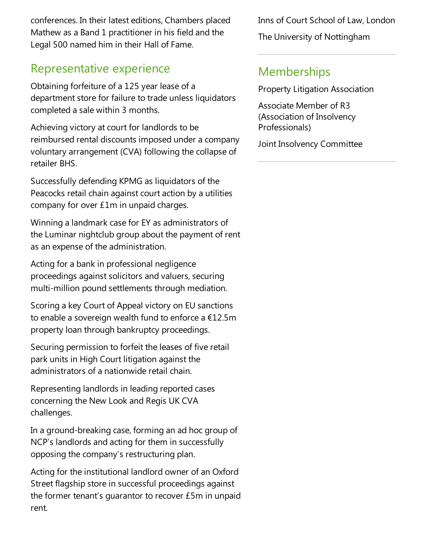conferences. In their latest editions, Chambers placed Mathew as a Band 1 practitioner in his field and the Legal 500 named him in their Hall of Fame.

## Representative experience

Obtaining forfeiture of a 125 year lease of a department store for failure to trade unless liquidators completed asale within 3 months.

Achieving victory at court for landlords to be reimbursed rental discounts imposed under a company voluntary arrangement (CVA) following the collapse of retailer BHS.

Successfully defending KPMG as liquidators of the Peacocks retail chain against court action by a utilities company for over £1m in unpaid charges.

Winning a landmark case for EY as administrators of the Luminar nightclub group about the payment of rent as an expense of the administration.

Acting for a bank in professional negligence proceedings against solicitors and valuers, securing multi-million pound settlements through mediation.

Scoring akey Court of Appeal victory on EU sanctions to enable a sovereign wealth fund to enforce a  $£12.5m$ property loan through bankruptcy proceedings.

Securing permission to forfeit the leases of five retail park units in High Court litigation against the administrators of a nationwide retail chain.

Representing landlords in leading reported cases concerning the New Look and Regis UK CVA challenges.

In a ground-breaking case, forming an ad hoc group of NCP's landlords and acting for them in successfully opposing the company's restructuring plan.

Acting for the institutional landlord owner of an Oxford Street flagship store in successful proceedings against the former tenant's quarantor to recover  $£5m$  in unpaid rent.

Inns of Court School of Law, London The University of Nottingham

## **Memberships**

Property Litigation Association

Associate Member of R3 (Association of Insolvency Professionals)

Joint Insolvency Committee